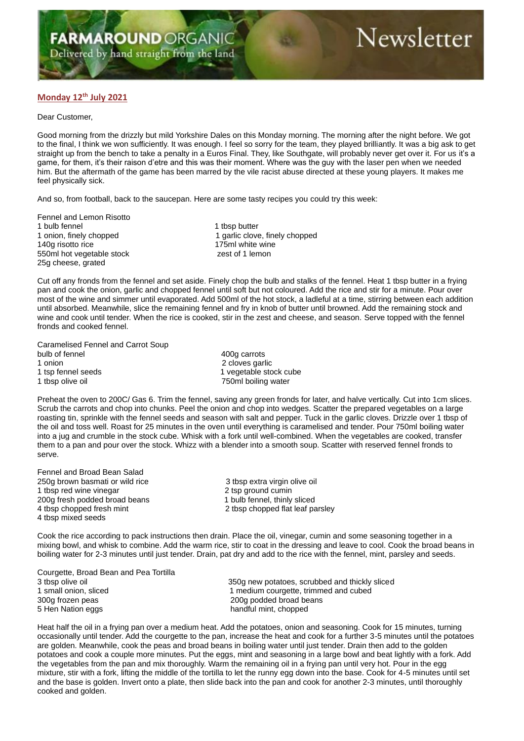## **Monday 12th July 2021**

## Dear Customer,

Good morning from the drizzly but mild Yorkshire Dales on this Monday morning. The morning after the night before. We got to the final, I think we won sufficiently. It was enough. I feel so sorry for the team, they played brilliantly. It was a big ask to get straight up from the bench to take a penalty in a Euros Final. They, like Southgate, will probably never get over it. For us it's a game, for them, it's their raison d'etre and this was their moment. Where was the guy with the laser pen when we needed him. But the aftermath of the game has been marred by the vile racist abuse directed at these young players. It makes me feel physically sick.

And so, from football, back to the saucepan. Here are some tasty recipes you could try this week:

Fennel and Lemon Risotto<br>1 bulb fennel 1 bulb fennel<br>
1 onion, finely chopped<br>
1 qarlic clove 140g risotto rice 175ml white wine 550ml hot vegetable stock zest of 1 lemon 25g cheese, grated

1 garlic clove, finely chopped

Cut off any fronds from the fennel and set aside. Finely chop the bulb and stalks of the fennel. Heat 1 tbsp butter in a frying pan and cook the onion, garlic and chopped fennel until soft but not coloured. Add the rice and stir for a minute. Pour over most of the wine and simmer until evaporated. Add 500ml of the hot stock, a ladleful at a time, stirring between each addition until absorbed. Meanwhile, slice the remaining fennel and fry in knob of butter until browned. Add the remaining stock and wine and cook until tender. When the rice is cooked, stir in the zest and cheese, and season. Serve topped with the fennel fronds and cooked fennel.

Caramelised Fennel and Carrot Soup<br>bulb of fennel 1 onion 2 cloves garlic 1 tsp fennel seeds 1 vegetable stock cube

400g carrots 750ml boiling water

Preheat the oven to 200C/ Gas 6. Trim the fennel, saving any green fronds for later, and halve vertically. Cut into 1cm slices. Scrub the carrots and chop into chunks. Peel the onion and chop into wedges. Scatter the prepared vegetables on a large roasting tin, sprinkle with the fennel seeds and season with salt and pepper. Tuck in the garlic cloves. Drizzle over 1 tbsp of the oil and toss well. Roast for 25 minutes in the oven until everything is caramelised and tender. Pour 750ml boiling water into a jug and crumble in the stock cube. Whisk with a fork until well-combined. When the vegetables are cooked, transfer them to a pan and pour over the stock. Whizz with a blender into a smooth soup. Scatter with reserved fennel fronds to serve.

Fennel and Broad Bean Salad 250g brown basmati or wild rice 3 tbsp extra virgin olive oil 1 tbsp red wine vinegar and the control of the control of the 2004 fresh podded broad beans and the 2004 fresh podded broad beans and the 2004 fresh podded broad beans and the 2004 fresh podded broad beans and the 2004 fre 200g fresh podded broad beans 4 tbsp chopped fresh mint 2 tbsp chopped flat leaf parsley 4 tbsp mixed seeds

Cook the rice according to pack instructions then drain. Place the oil, vinegar, cumin and some seasoning together in a mixing bowl, and whisk to combine. Add the warm rice, stir to coat in the dressing and leave to cool. Cook the broad beans in boiling water for 2-3 minutes until just tender. Drain, pat dry and add to the rice with the fennel, mint, parsley and seeds.

| Courgette, Broad Bean and Pea Tortilla |                                                |
|----------------------------------------|------------------------------------------------|
| 3 tbsp olive oil                       | 350g new potatoes, scrubbed and thickly sliced |
| 1 small onion, sliced                  | 1 medium courgette, trimmed and cubed          |
| 300g frozen peas                       | 200g podded broad beans                        |
| 5 Hen Nation eggs                      | handful mint, chopped                          |

Heat half the oil in a frying pan over a medium heat. Add the potatoes, onion and seasoning. Cook for 15 minutes, turning occasionally until tender. Add the courgette to the pan, increase the heat and cook for a further 3-5 minutes until the potatoes are golden. Meanwhile, cook the peas and broad beans in boiling water until just tender. Drain then add to the golden potatoes and cook a couple more minutes. Put the eggs, mint and seasoning in a large bowl and beat lightly with a fork. Add the vegetables from the pan and mix thoroughly. Warm the remaining oil in a frying pan until very hot. Pour in the egg mixture, stir with a fork, lifting the middle of the tortilla to let the runny egg down into the base. Cook for 4-5 minutes until set and the base is golden. Invert onto a plate, then slide back into the pan and cook for another 2-3 minutes, until thoroughly cooked and golden.